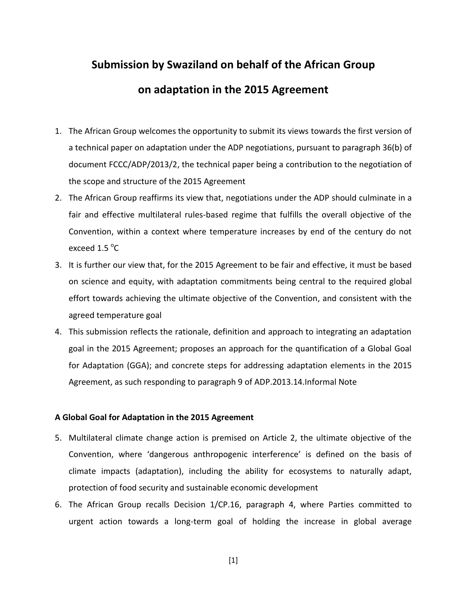## **Submission by Swaziland on behalf of the African Group on adaptation in the 2015 Agreement**

- 1. The African Group welcomes the opportunity to submit its views towards the first version of a technical paper on adaptation under the ADP negotiations, pursuant to paragraph 36(b) of document FCCC/ADP/2013/2, the technical paper being a contribution to the negotiation of the scope and structure of the 2015 Agreement
- 2. The African Group reaffirms its view that, negotiations under the ADP should culminate in a fair and effective multilateral rules-based regime that fulfills the overall objective of the Convention, within a context where temperature increases by end of the century do not exceed 1.5  $^{\circ}$ C
- 3. It is further our view that, for the 2015 Agreement to be fair and effective, it must be based on science and equity, with adaptation commitments being central to the required global effort towards achieving the ultimate objective of the Convention, and consistent with the agreed temperature goal
- 4. This submission reflects the rationale, definition and approach to integrating an adaptation goal in the 2015 Agreement; proposes an approach for the quantification of a Global Goal for Adaptation (GGA); and concrete steps for addressing adaptation elements in the 2015 Agreement, as such responding to paragraph 9 of ADP.2013.14.Informal Note

## **A Global Goal for Adaptation in the 2015 Agreement**

- 5. Multilateral climate change action is premised on Article 2, the ultimate objective of the Convention, where 'dangerous anthropogenic interference' is defined on the basis of climate impacts (adaptation), including the ability for ecosystems to naturally adapt, protection of food security and sustainable economic development
- 6. The African Group recalls Decision 1/CP.16, paragraph 4, where Parties committed to urgent action towards a long-term goal of holding the increase in global average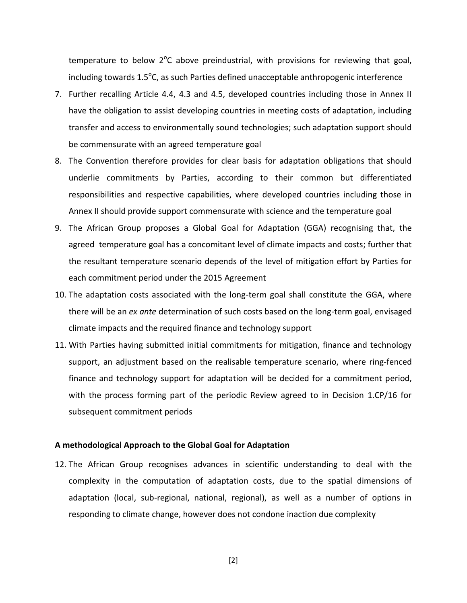temperature to below  $2^{\circ}$ C above preindustrial, with provisions for reviewing that goal, including towards  $1.5^{\circ}$ C, as such Parties defined unacceptable anthropogenic interference

- 7. Further recalling Article 4.4, 4.3 and 4.5, developed countries including those in Annex II have the obligation to assist developing countries in meeting costs of adaptation, including transfer and access to environmentally sound technologies; such adaptation support should be commensurate with an agreed temperature goal
- 8. The Convention therefore provides for clear basis for adaptation obligations that should underlie commitments by Parties, according to their common but differentiated responsibilities and respective capabilities, where developed countries including those in Annex II should provide support commensurate with science and the temperature goal
- 9. The African Group proposes a Global Goal for Adaptation (GGA) recognising that, the agreed temperature goal has a concomitant level of climate impacts and costs; further that the resultant temperature scenario depends of the level of mitigation effort by Parties for each commitment period under the 2015 Agreement
- 10. The adaptation costs associated with the long-term goal shall constitute the GGA, where there will be an *ex ante* determination of such costs based on the long-term goal, envisaged climate impacts and the required finance and technology support
- 11. With Parties having submitted initial commitments for mitigation, finance and technology support, an adjustment based on the realisable temperature scenario, where ring-fenced finance and technology support for adaptation will be decided for a commitment period, with the process forming part of the periodic Review agreed to in Decision 1.CP/16 for subsequent commitment periods

## **A methodological Approach to the Global Goal for Adaptation**

12. The African Group recognises advances in scientific understanding to deal with the complexity in the computation of adaptation costs, due to the spatial dimensions of adaptation (local, sub-regional, national, regional), as well as a number of options in responding to climate change, however does not condone inaction due complexity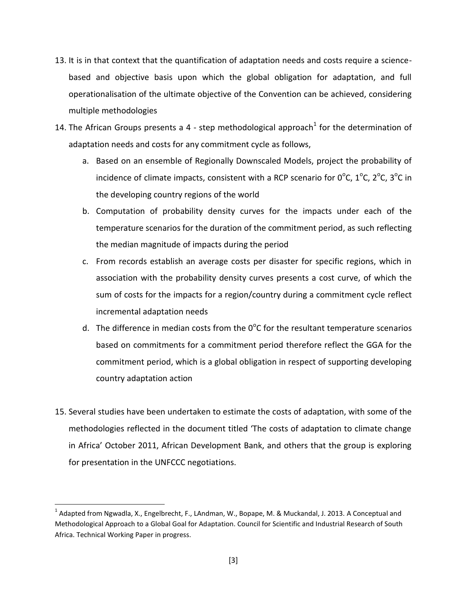- 13. It is in that context that the quantification of adaptation needs and costs require a sciencebased and objective basis upon which the global obligation for adaptation, and full operationalisation of the ultimate objective of the Convention can be achieved, considering multiple methodologies
- 14. The African Groups presents a 4 step methodological approach<sup>1</sup> for the determination of adaptation needs and costs for any commitment cycle as follows,
	- a. Based on an ensemble of Regionally Downscaled Models, project the probability of incidence of climate impacts, consistent with a RCP scenario for  $0^{\circ}$ C,  $1^{\circ}$ C,  $2^{\circ}$ C,  $3^{\circ}$ C in the developing country regions of the world
	- b. Computation of probability density curves for the impacts under each of the temperature scenarios for the duration of the commitment period, as such reflecting the median magnitude of impacts during the period
	- c. From records establish an average costs per disaster for specific regions, which in association with the probability density curves presents a cost curve, of which the sum of costs for the impacts for a region/country during a commitment cycle reflect incremental adaptation needs
	- d. The difference in median costs from the  $0^{\circ}$ C for the resultant temperature scenarios based on commitments for a commitment period therefore reflect the GGA for the commitment period, which is a global obligation in respect of supporting developing country adaptation action
- 15. Several studies have been undertaken to estimate the costs of adaptation, with some of the methodologies reflected in the document titled 'The costs of adaptation to climate change in Africa' October 2011, African Development Bank, and others that the group is exploring for presentation in the UNFCCC negotiations.

l

<sup>&</sup>lt;sup>1</sup> Adapted from Ngwadla, X., Engelbrecht, F., LAndman, W., Bopape, M. & Muckandal, J. 2013. A Conceptual and Methodological Approach to a Global Goal for Adaptation. Council for Scientific and Industrial Research of South Africa. Technical Working Paper in progress.